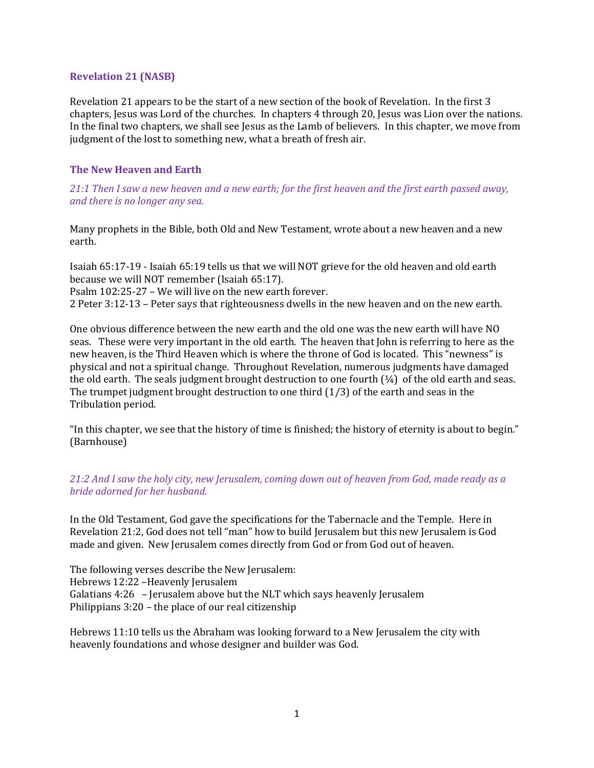## Revelation 21 (NASB)

Revelation 21 appears to be the start of a new section of the book of Revelation. In the first 3 chapters, Jesus was Lord of the churches. In chapters 4 through 20, Jesus was Lion over the nations. In the final two chapters, we shall see Jesus as the Lamb of believers. In this chapter, we move from judgment of the lost to something new, what a breath of fresh air.

## The New Heaven and Earth

21:1 Then I saw a new heaven and a new earth; for the first heaven and the first earth passed away, and there is no longer any sea.

Many prophets in the Bible, both Old and New Testament, wrote about a new heaven and a new earth.

Isaiah 65:17-19 - Isaiah 65:19 tells us that we will NOT grieve for the old heaven and old earth because we will NOT remember (Isaiah 65:17). Psalm 102:25-27 – We will live on the new earth forever. 2 Peter 3:12-13 – Peter says that righteousness dwells in the new heaven and on the new earth.

One obvious difference between the new earth and the old one was the new earth will have NO seas. These were very important in the old earth. The heaven that John is referring to here as the new heaven, is the Third Heaven which is where the throne of God is located. This "newness" is physical and not a spiritual change. Throughout Revelation, numerous judgments have damaged the old earth. The seals judgment brought destruction to one fourth  $(1/4)$  of the old earth and seas. The trumpet judgment brought destruction to one third  $(1/3)$  of the earth and seas in the Tribulation period.

"In this chapter, we see that the history of time is finished; the history of eternity is about to begin." (Barnhouse)

21:2 And I saw the holy city, new Jerusalem, coming down out of heaven from God, made ready as a bride adorned for her husband.

In the Old Testament, God gave the specifications for the Tabernacle and the Temple. Here in Revelation 21:2, God does not tell "man" how to build Jerusalem but this new Jerusalem is God made and given. New Jerusalem comes directly from God or from God out of heaven.

The following verses describe the New Jerusalem: Hebrews 12:22 –Heavenly Jerusalem Galatians 4:26 – Jerusalem above but the NLT which says heavenly Jerusalem Philippians 3:20 – the place of our real citizenship

Hebrews 11:10 tells us the Abraham was looking forward to a New Jerusalem the city with heavenly foundations and whose designer and builder was God.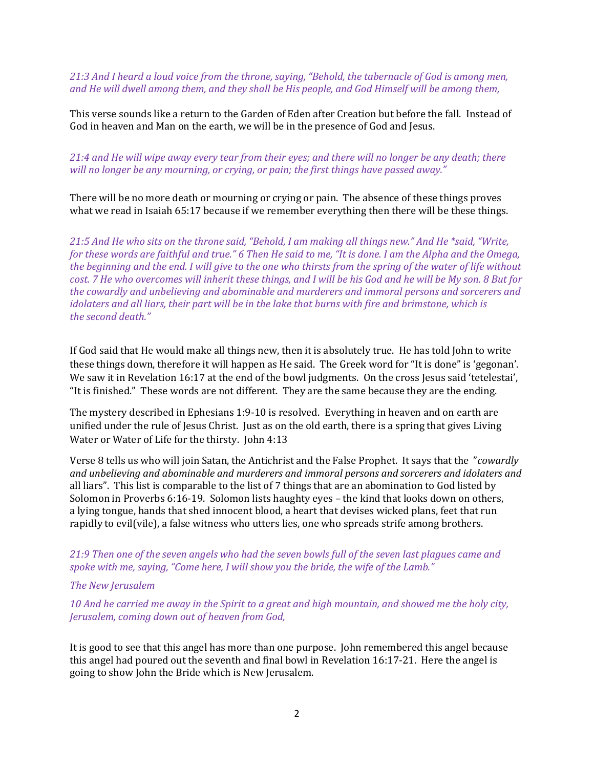21:3 And I heard a loud voice from the throne, saying, "Behold, the tabernacle of God is among men, and He will dwell among them, and they shall be His people, and God Himself will be among them,

This verse sounds like a return to the Garden of Eden after Creation but before the fall. Instead of God in heaven and Man on the earth, we will be in the presence of God and Jesus.

## 21:4 and He will wipe away every tear from their eyes; and there will no longer be any death; there will no longer be any mourning, or crying, or pain; the first things have passed away."

There will be no more death or mourning or crying or pain. The absence of these things proves what we read in Isaiah 65:17 because if we remember everything then there will be these things.

21:5 And He who sits on the throne said, "Behold, I am making all things new." And He \*said, "Write, for these words are faithful and true." 6 Then He said to me, "It is done. I am the Alpha and the Omega, the beginning and the end. I will give to the one who thirsts from the spring of the water of life without cost. 7 He who overcomes will inherit these things, and I will be his God and he will be My son. 8 But for the cowardly and unbelieving and abominable and murderers and immoral persons and sorcerers and idolaters and all liars, their part will be in the lake that burns with fire and brimstone, which is the second death."

If God said that He would make all things new, then it is absolutely true. He has told John to write these things down, therefore it will happen as He said. The Greek word for "It is done" is 'gegonan'. We saw it in Revelation 16:17 at the end of the bowl judgments. On the cross Jesus said 'tetelestai', "It is finished." These words are not different. They are the same because they are the ending.

The mystery described in Ephesians 1:9-10 is resolved. Everything in heaven and on earth are unified under the rule of Jesus Christ. Just as on the old earth, there is a spring that gives Living Water or Water of Life for the thirsty. John 4:13

Verse 8 tells us who will join Satan, the Antichrist and the False Prophet. It says that the "cowardly and unbelieving and abominable and murderers and immoral persons and sorcerers and idolaters and all liars". This list is comparable to the list of 7 things that are an abomination to God listed by Solomon in Proverbs 6:16-19. Solomon lists haughty eyes – the kind that looks down on others, a lying tongue, hands that shed innocent blood, a heart that devises wicked plans, feet that run rapidly to evil(vile), a false witness who utters lies, one who spreads strife among brothers.

21:9 Then one of the seven angels who had the seven bowls full of the seven last plagues came and spoke with me, saying, "Come here, I will show you the bride, the wife of the Lamb."

## The New Jerusalem

10 And he carried me away in the Spirit to a great and high mountain, and showed me the holy city, Jerusalem, coming down out of heaven from God,

It is good to see that this angel has more than one purpose. John remembered this angel because this angel had poured out the seventh and final bowl in Revelation 16:17-21. Here the angel is going to show John the Bride which is New Jerusalem.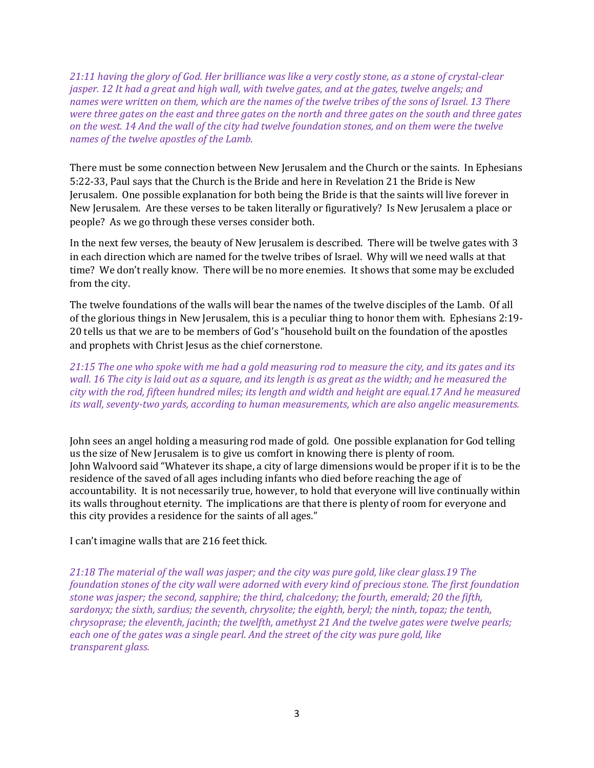21:11 having the glory of God. Her brilliance was like a very costly stone, as a stone of crystal-clear jasper. 12 It had a great and high wall, with twelve gates, and at the gates, twelve angels; and names were written on them, which are the names of the twelve tribes of the sons of Israel. 13 There were three gates on the east and three gates on the north and three gates on the south and three gates on the west. 14 And the wall of the city had twelve foundation stones, and on them were the twelve names of the twelve apostles of the Lamb.

There must be some connection between New Jerusalem and the Church or the saints. In Ephesians 5:22-33, Paul says that the Church is the Bride and here in Revelation 21 the Bride is New Jerusalem. One possible explanation for both being the Bride is that the saints will live forever in New Jerusalem. Are these verses to be taken literally or figuratively? Is New Jerusalem a place or people? As we go through these verses consider both.

In the next few verses, the beauty of New Jerusalem is described. There will be twelve gates with 3 in each direction which are named for the twelve tribes of Israel. Why will we need walls at that time? We don't really know. There will be no more enemies. It shows that some may be excluded from the city.

The twelve foundations of the walls will bear the names of the twelve disciples of the Lamb. Of all of the glorious things in New Jerusalem, this is a peculiar thing to honor them with. Ephesians 2:19- 20 tells us that we are to be members of God's "household built on the foundation of the apostles and prophets with Christ Jesus as the chief cornerstone.

21:15 The one who spoke with me had a gold measuring rod to measure the city, and its gates and its wall. 16 The city is laid out as a square, and its length is as great as the width; and he measured the city with the rod, fifteen hundred miles; its length and width and height are equal.17 And he measured its wall, seventy-two yards, according to human measurements, which are also angelic measurements.

John sees an angel holding a measuring rod made of gold. One possible explanation for God telling us the size of New Jerusalem is to give us comfort in knowing there is plenty of room. John Walvoord said "Whatever its shape, a city of large dimensions would be proper if it is to be the residence of the saved of all ages including infants who died before reaching the age of accountability. It is not necessarily true, however, to hold that everyone will live continually within its walls throughout eternity. The implications are that there is plenty of room for everyone and this city provides a residence for the saints of all ages."

I can't imagine walls that are 216 feet thick.

21:18 The material of the wall was jasper; and the city was pure gold, like clear glass.19 The foundation stones of the city wall were adorned with every kind of precious stone. The first foundation stone was jasper; the second, sapphire; the third, chalcedony; the fourth, emerald; 20 the fifth, sardonyx; the sixth, sardius; the seventh, chrysolite; the eighth, beryl; the ninth, topaz; the tenth, chrysoprase; the eleventh, jacinth; the twelfth, amethyst 21 And the twelve gates were twelve pearls; each one of the gates was a single pearl. And the street of the city was pure gold, like transparent glass.